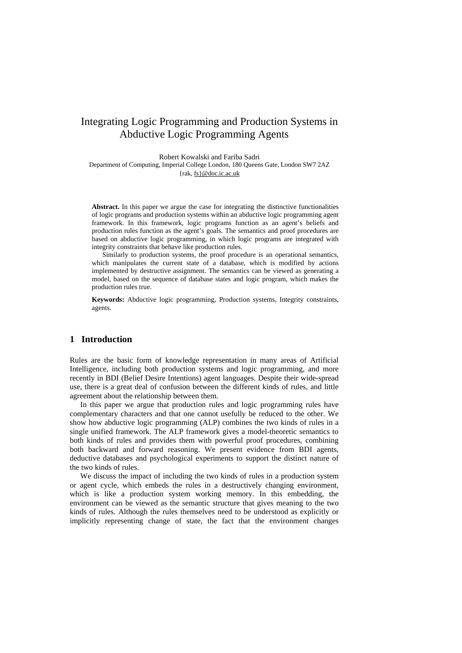# Integrating Logic Programming and Production Systems in Abductive Logic Programming Agents

Robert Kowalski and Fariba Sadri Department of Computing, Imperial College London, 180 Queens Gate, London SW7 2AZ {rak, [fs}@doc.ic.ac.uk](mailto:fs%7D@doc.ic.ac.uk)

**Abstract.** In this paper we argue the case for integrating the distinctive functionalities of logic programs and production systems within an abductive logic programming agent framework. In this framework, logic programs function as an agent's beliefs and production rules function as the agent's goals. The semantics and proof procedures are based on abductive logic programming, in which logic programs are integrated with integrity constraints that behave like production rules.

Similarly to production systems, the proof procedure is an operational semantics, which manipulates the current state of a database, which is modified by actions implemented by destructive assignment. The semantics can be viewed as generating a model, based on the sequence of database states and logic program, which makes the production rules true.

**Keywords:** Abductive logic programming, Production systems, Integrity constraints, agents.

## **1 Introduction**

Rules are the basic form of knowledge representation in many areas of Artificial Intelligence, including both production systems and logic programming, and more recently in BDI (Belief Desire Intentions) agent languages. Despite their wide-spread use, there is a great deal of confusion between the different kinds of rules, and little agreement about the relationship between them.

In this paper we argue that production rules and logic programming rules have complementary characters and that one cannot usefully be reduced to the other. We show how abductive logic programming (ALP) combines the two kinds of rules in a single unified framework. The ALP framework gives a model-theoretic semantics to both kinds of rules and provides them with powerful proof procedures, combining both backward and forward reasoning. We present evidence from BDI agents, deductive databases and psychological experiments to support the distinct nature of the two kinds of rules.

We discuss the impact of including the two kinds of rules in a production system or agent cycle, which embeds the rules in a destructively changing environment, which is like a production system working memory. In this embedding, the environment can be viewed as the semantic structure that gives meaning to the two kinds of rules. Although the rules themselves need to be understood as explicitly or implicitly representing change of state, the fact that the environment changes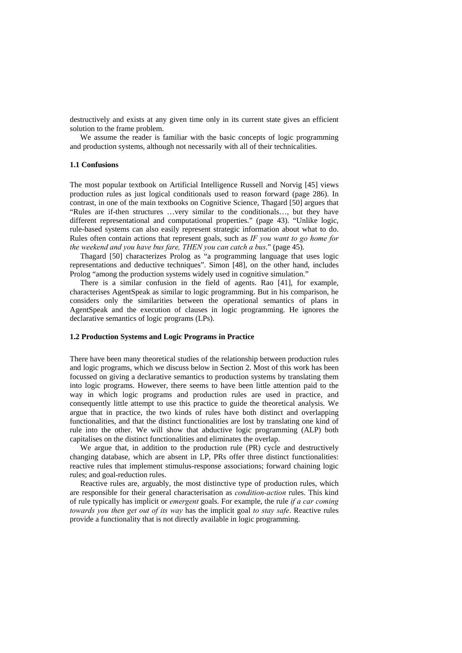destructively and exists at any given time only in its current state gives an efficient solution to the frame problem.

We assume the reader is familiar with the basic concepts of logic programming and production systems, although not necessarily with all of their technicalities.

## **1.1 Confusions**

The most popular textbook on Artificial Intelligence Russell and Norvig [45] views production rules as just logical conditionals used to reason forward (page 286). In contrast, in one of the main textbooks on Cognitive Science, Thagard [50] argues that "Rules are if-then structures …very similar to the conditionals…, but they have different representational and computational properties." (page 43). "Unlike logic, rule-based systems can also easily represent strategic information about what to do. Rules often contain actions that represent goals, such as *IF you want to go home for the weekend and you have bus fare, THEN you can catch a bus*." (page 45).

Thagard [50] characterizes Prolog as "a programming language that uses logic representations and deductive techniques". Simon [48], on the other hand, includes Prolog "among the production systems widely used in cognitive simulation."

There is a similar confusion in the field of agents. Rao [41], for example, characterises AgentSpeak as similar to logic programming. But in his comparison, he considers only the similarities between the operational semantics of plans in AgentSpeak and the execution of clauses in logic programming. He ignores the declarative semantics of logic programs (LPs).

#### **1.2 Production Systems and Logic Programs in Practice**

There have been many theoretical studies of the relationship between production rules and logic programs, which we discuss below in Section 2. Most of this work has been focussed on giving a declarative semantics to production systems by translating them into logic programs. However, there seems to have been little attention paid to the way in which logic programs and production rules are used in practice, and consequently little attempt to use this practice to guide the theoretical analysis. We argue that in practice, the two kinds of rules have both distinct and overlapping functionalities, and that the distinct functionalities are lost by translating one kind of rule into the other. We will show that abductive logic programming (ALP) both capitalises on the distinct functionalities and eliminates the overlap.

We argue that, in addition to the production rule (PR) cycle and destructively changing database, which are absent in LP, PRs offer three distinct functionalities: reactive rules that implement stimulus-response associations; forward chaining logic rules; and goal-reduction rules.

Reactive rules are, arguably, the most distinctive type of production rules, which are responsible for their general characterisation as *condition-action* rules. This kind of rule typically has implicit or *emergent* goals. For example, the rule *if a car coming towards you then get out of its way* has the implicit goal *to stay safe*. Reactive rules provide a functionality that is not directly available in logic programming.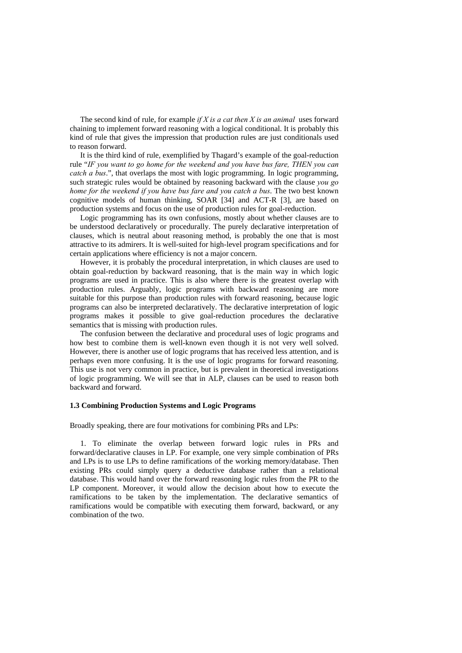The second kind of rule, for example *if X is a cat then X is an animal* uses forward chaining to implement forward reasoning with a logical conditional. It is probably this kind of rule that gives the impression that production rules are just conditionals used to reason forward.

It is the third kind of rule, exemplified by Thagard's example of the goal-reduction rule "*IF you want to go home for the weekend and you have bus fare, THEN you can catch a bus*.", that overlaps the most with logic programming. In logic programming, such strategic rules would be obtained by reasoning backward with the clause *you go home for the weekend if you have bus fare and you catch a bus*. The two best known cognitive models of human thinking, SOAR [34] and ACT-R [3], are based on production systems and focus on the use of production rules for goal-reduction.

Logic programming has its own confusions, mostly about whether clauses are to be understood declaratively or procedurally. The purely declarative interpretation of clauses, which is neutral about reasoning method, is probably the one that is most attractive to its admirers. It is well-suited for high-level program specifications and for certain applications where efficiency is not a major concern.

However, it is probably the procedural interpretation, in which clauses are used to obtain goal-reduction by backward reasoning, that is the main way in which logic programs are used in practice. This is also where there is the greatest overlap with production rules. Arguably, logic programs with backward reasoning are more suitable for this purpose than production rules with forward reasoning, because logic programs can also be interpreted declaratively. The declarative interpretation of logic programs makes it possible to give goal-reduction procedures the declarative semantics that is missing with production rules.

The confusion between the declarative and procedural uses of logic programs and how best to combine them is well-known even though it is not very well solved. However, there is another use of logic programs that has received less attention, and is perhaps even more confusing. It is the use of logic programs for forward reasoning. This use is not very common in practice, but is prevalent in theoretical investigations of logic programming. We will see that in ALP, clauses can be used to reason both backward and forward.

#### **1.3 Combining Production Systems and Logic Programs**

Broadly speaking, there are four motivations for combining PRs and LPs:

1. To eliminate the overlap between forward logic rules in PRs and forward/declarative clauses in LP. For example, one very simple combination of PRs and LPs is to use LPs to define ramifications of the working memory/database. Then existing PRs could simply query a deductive database rather than a relational database. This would hand over the forward reasoning logic rules from the PR to the LP component. Moreover, it would allow the decision about how to execute the ramifications to be taken by the implementation. The declarative semantics of ramifications would be compatible with executing them forward, backward, or any combination of the two.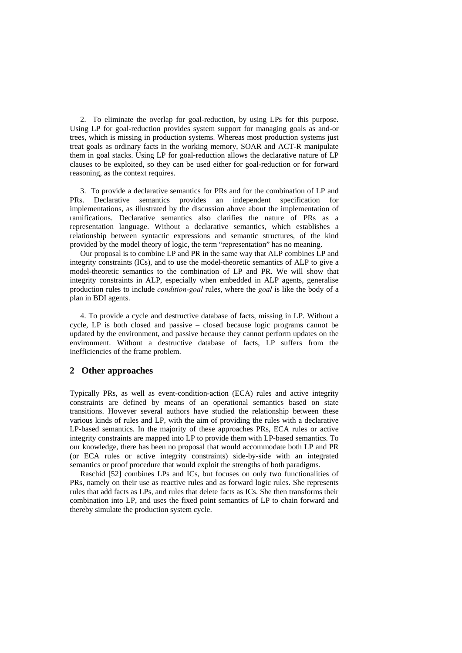2. To eliminate the overlap for goal-reduction, by using LPs for this purpose. Using LP for goal-reduction provides system support for managing goals as and-or trees, which is missing in production systems. Whereas most production systems just treat goals as ordinary facts in the working memory, SOAR and ACT-R manipulate them in goal stacks. Using LP for goal-reduction allows the declarative nature of LP clauses to be exploited, so they can be used either for goal-reduction or for forward reasoning, as the context requires.

3. To provide a declarative semantics for PRs and for the combination of LP and PRs. Declarative semantics provides an independent specification for implementations, as illustrated by the discussion above about the implementation of ramifications. Declarative semantics also clarifies the nature of PRs as a representation language. Without a declarative semantics, which establishes a relationship between syntactic expressions and semantic structures, of the kind provided by the model theory of logic, the term "representation" has no meaning.

Our proposal is to combine LP and PR in the same way that ALP combines LP and integrity constraints (ICs), and to use the model-theoretic semantics of ALP to give a model-theoretic semantics to the combination of LP and PR. We will show that integrity constraints in ALP, especially when embedded in ALP agents, generalise production rules to include *condition-goal* rules, where the *goal* is like the body of a plan in BDI agents.

4. To provide a cycle and destructive database of facts, missing in LP. Without a cycle, LP is both closed and passive – closed because logic programs cannot be updated by the environment, and passive because they cannot perform updates on the environment. Without a destructive database of facts, LP suffers from the inefficiencies of the frame problem.

## **2 Other approaches**

Typically PRs, as well as event-condition-action (ECA) rules and active integrity constraints are defined by means of an operational semantics based on state transitions. However several authors have studied the relationship between these various kinds of rules and LP, with the aim of providing the rules with a declarative LP-based semantics. In the majority of these approaches PRs, ECA rules or active integrity constraints are mapped into LP to provide them with LP-based semantics. To our knowledge, there has been no proposal that would accommodate both LP and PR (or ECA rules or active integrity constraints) side-by-side with an integrated semantics or proof procedure that would exploit the strengths of both paradigms.

Raschid [52] combines LPs and ICs, but focuses on only two functionalities of PRs, namely on their use as reactive rules and as forward logic rules. She represents rules that add facts as LPs, and rules that delete facts as ICs. She then transforms their combination into LP, and uses the fixed point semantics of LP to chain forward and thereby simulate the production system cycle.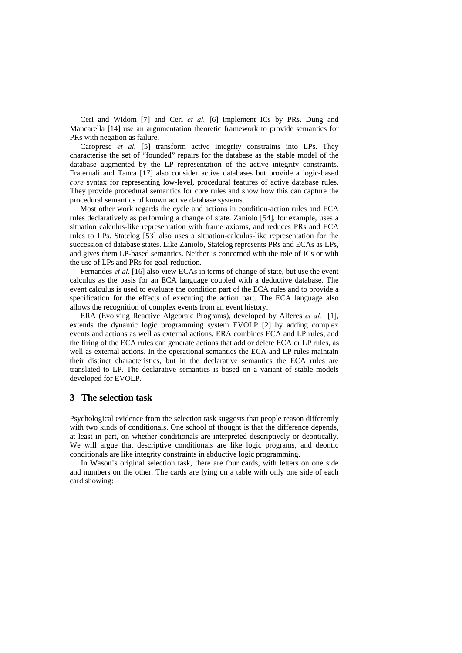Ceri and Widom [7] and Ceri *et al.* [6] implement ICs by PRs. Dung and Mancarella [14] use an argumentation theoretic framework to provide semantics for PRs with negation as failure.

Caroprese *et al.* [5] transform active integrity constraints into LPs. They characterise the set of "founded" repairs for the database as the stable model of the database augmented by the LP representation of the active integrity constraints. Fraternali and Tanca [17] also consider active databases but provide a logic-based *core* syntax for representing low-level, procedural features of active database rules. They provide procedural semantics for core rules and show how this can capture the procedural semantics of known active database systems.

Most other work regards the cycle and actions in condition-action rules and ECA rules declaratively as performing a change of state. Zaniolo [54], for example, uses a situation calculus-like representation with frame axioms, and reduces PRs and ECA rules to LPs. Statelog [53] also uses a situation-calculus-like representation for the succession of database states. Like Zaniolo, Statelog represents PRs and ECAs as LPs, and gives them LP-based semantics. Neither is concerned with the role of ICs or with the use of LPs and PRs for goal-reduction.

Fernandes *et al.* [16] also view ECAs in terms of change of state, but use the event calculus as the basis for an ECA language coupled with a deductive database. The event calculus is used to evaluate the condition part of the ECA rules and to provide a specification for the effects of executing the action part. The ECA language also allows the recognition of complex events from an event history.

ERA (Evolving Reactive Algebraic Programs), developed by Alferes *et al.* [1], extends the dynamic logic programming system EVOLP [2] by adding complex events and actions as well as external actions. ERA combines ECA and LP rules, and the firing of the ECA rules can generate actions that add or delete ECA or LP rules, as well as external actions. In the operational semantics the ECA and LP rules maintain their distinct characteristics, but in the declarative semantics the ECA rules are translated to LP. The declarative semantics is based on a variant of stable models developed for EVOLP.

#### **3 The selection task**

Psychological evidence from the selection task suggests that people reason differently with two kinds of conditionals. One school of thought is that the difference depends, at least in part, on whether conditionals are interpreted descriptively or deontically. We will argue that descriptive conditionals are like logic programs, and deontic conditionals are like integrity constraints in abductive logic programming.

 In Wason's original selection task, there are four cards, with letters on one side and numbers on the other. The cards are lying on a table with only one side of each card showing: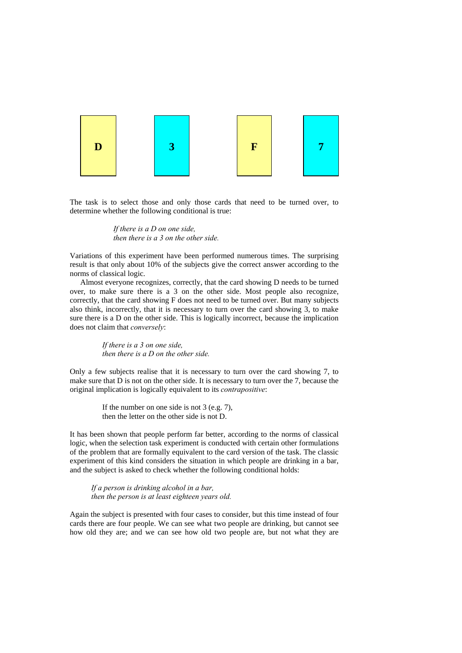

The task is to select those and only those cards that need to be turned over, to determine whether the following conditional is true:

> *If there is a D on one side, then there is a 3 on the other side.*

Variations of this experiment have been performed numerous times. The surprising result is that only about 10% of the subjects give the correct answer according to the norms of classical logic.

Almost everyone recognizes, correctly, that the card showing D needs to be turned over, to make sure there is a 3 on the other side. Most people also recognize, correctly, that the card showing F does not need to be turned over. But many subjects also think, incorrectly, that it is necessary to turn over the card showing 3, to make sure there is a D on the other side. This is logically incorrect, because the implication does not claim that *conversely*:

> *If there is a 3 on one side, then there is a D on the other side.*

Only a few subjects realise that it is necessary to turn over the card showing 7, to make sure that  $D$  is not on the other side. It is necessary to turn over the  $7$ , because the original implication is logically equivalent to its *contrapositive*:

> If the number on one side is not 3 (e.g. 7), then the letter on the other side is not D.

It has been shown that people perform far better, according to the norms of classical logic, when the selection task experiment is conducted with certain other formulations of the problem that are formally equivalent to the card version of the task. The classic experiment of this kind considers the situation in which people are drinking in a bar, and the subject is asked to check whether the following conditional holds:

*If a person is drinking alcohol in a bar, then the person is at least eighteen years old.* 

Again the subject is presented with four cases to consider, but this time instead of four cards there are four people. We can see what two people are drinking, but cannot see how old they are; and we can see how old two people are, but not what they are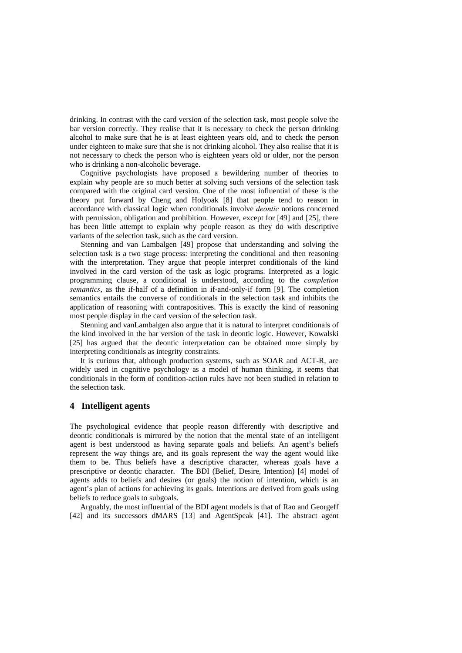drinking. In contrast with the card version of the selection task, most people solve the bar version correctly. They realise that it is necessary to check the person drinking alcohol to make sure that he is at least eighteen years old, and to check the person under eighteen to make sure that she is not drinking alcohol. They also realise that it is not necessary to check the person who is eighteen years old or older, nor the person who is drinking a non-alcoholic beverage.

Cognitive psychologists have proposed a bewildering number of theories to explain why people are so much better at solving such versions of the selection task compared with the original card version. One of the most influential of these is the theory put forward by Cheng and Holyoak [8] that people tend to reason in accordance with classical logic when conditionals involve *deontic* notions concerned with permission, obligation and prohibition. However, except for [49] and [25], there has been little attempt to explain why people reason as they do with descriptive variants of the selection task, such as the card version.

 Stenning and van Lambalgen [49] propose that understanding and solving the selection task is a two stage process: interpreting the conditional and then reasoning with the interpretation. They argue that people interpret conditionals of the kind involved in the card version of the task as logic programs. Interpreted as a logic programming clause, a conditional is understood, according to the *completion semantics*, as the if-half of a definition in if-and-only-if form [9]. The completion semantics entails the converse of conditionals in the selection task and inhibits the application of reasoning with contrapositives. This is exactly the kind of reasoning most people display in the card version of the selection task.

Stenning and vanLambalgen also argue that it is natural to interpret conditionals of the kind involved in the bar version of the task in deontic logic. However, Kowalski [25] has argued that the deontic interpretation can be obtained more simply by interpreting conditionals as integrity constraints.

It is curious that, although production systems, such as SOAR and ACT-R, are widely used in cognitive psychology as a model of human thinking, it seems that conditionals in the form of condition-action rules have not been studied in relation to the selection task.

### **4 Intelligent agents**

The psychological evidence that people reason differently with descriptive and deontic conditionals is mirrored by the notion that the mental state of an intelligent agent is best understood as having separate goals and beliefs. An agent's beliefs represent the way things are, and its goals represent the way the agent would like them to be. Thus beliefs have a descriptive character, whereas goals have a prescriptive or deontic character. The BDI (Belief, Desire, Intention) [4] model of agents adds to beliefs and desires (or goals) the notion of intention, which is an agent's plan of actions for achieving its goals. Intentions are derived from goals using beliefs to reduce goals to subgoals.

Arguably, the most influential of the BDI agent models is that of Rao and Georgeff [42] and its successors dMARS [13] and AgentSpeak [41]. The abstract agent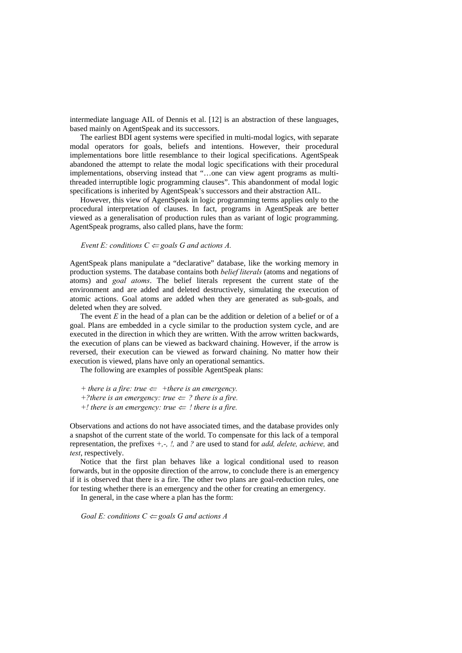intermediate language AIL of Dennis et al. [12] is an abstraction of these languages, based mainly on AgentSpeak and its successors.

The earliest BDI agent systems were specified in multi-modal logics, with separate modal operators for goals, beliefs and intentions. However, their procedural implementations bore little resemblance to their logical specifications. AgentSpeak abandoned the attempt to relate the modal logic specifications with their procedural implementations, observing instead that "…one can view agent programs as multithreaded interruptible logic programming clauses". This abandonment of modal logic specifications is inherited by AgentSpeak's successors and their abstraction AIL.

However, this view of AgentSpeak in logic programming terms applies only to the procedural interpretation of clauses. In fact, programs in AgentSpeak are better viewed as a generalisation of production rules than as variant of logic programming. AgentSpeak programs, also called plans, have the form:

#### *Event E: conditions*  $C \leftarrow$  *goals G and actions A.*

AgentSpeak plans manipulate a "declarative" database, like the working memory in production systems. The database contains both *belief literals* (atoms and negations of atoms) and *goal atoms*. The belief literals represent the current state of the environment and are added and deleted destructively, simulating the execution of atomic actions. Goal atoms are added when they are generated as sub-goals, and deleted when they are solved.

The event *E* in the head of a plan can be the addition or deletion of a belief or of a goal. Plans are embedded in a cycle similar to the production system cycle, and are executed in the direction in which they are written. With the arrow written backwards, the execution of plans can be viewed as backward chaining. However, if the arrow is reversed, their execution can be viewed as forward chaining. No matter how their execution is viewed, plans have only an operational semantics.

The following are examples of possible AgentSpeak plans:

- *+ there is a fire: true*  $\Leftarrow$  *+there is an emergency.*
- $+$ ?there is an emergency: true  $\Leftarrow$  ? there is a fire.
- $+$ *! there is an emergency: true*  $\leftarrow$  *! there is a fire.*

Observations and actions do not have associated times, and the database provides only a snapshot of the current state of the world. To compensate for this lack of a temporal representation, the prefixes *+,-, !,* and *?* are used to stand for *add, delete, achieve,* and *test*, respectively.

Notice that the first plan behaves like a logical conditional used to reason forwards, but in the opposite direction of the arrow, to conclude there is an emergency if it is observed that there is a fire. The other two plans are goal-reduction rules, one for testing whether there is an emergency and the other for creating an emergency.

In general, in the case where a plan has the form:

*Goal E: conditions*  $C \leftarrow$  *goals G and actions A*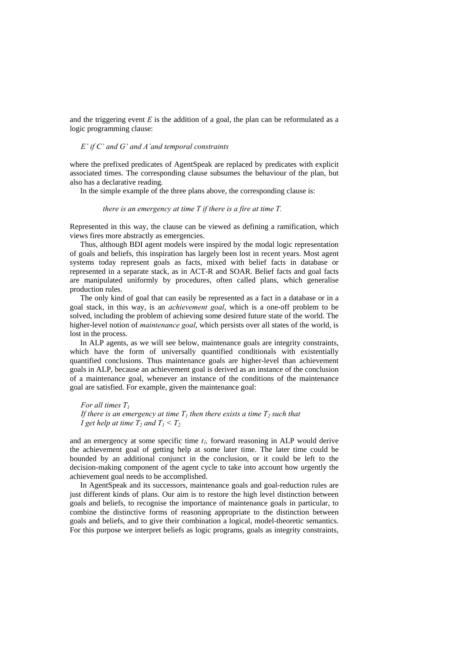and the triggering event  $E$  is the addition of a goal, the plan can be reformulated as a logic programming clause:

#### *E' if C' and G' and A'and temporal constraints*

where the prefixed predicates of AgentSpeak are replaced by predicates with explicit associated times. The corresponding clause subsumes the behaviour of the plan, but also has a declarative reading.

In the simple example of the three plans above, the corresponding clause is:

#### *there is an emergency at time T if there is a fire at time T.*

Represented in this way, the clause can be viewed as defining a ramification, which views fires more abstractly as emergencies.

Thus, although BDI agent models were inspired by the modal logic representation of goals and beliefs, this inspiration has largely been lost in recent years. Most agent systems today represent goals as facts, mixed with belief facts in database or represented in a separate stack, as in ACT-R and SOAR. Belief facts and goal facts are manipulated uniformly by procedures, often called plans, which generalise production rules.

The only kind of goal that can easily be represented as a fact in a database or in a goal stack, in this way, is an *achievement goal*, which is a one-off problem to be solved, including the problem of achieving some desired future state of the world. The higher-level notion of *maintenance goal*, which persists over all states of the world, is lost in the process.

In ALP agents, as we will see below, maintenance goals are integrity constraints, which have the form of universally quantified conditionals with existentially quantified conclusions. Thus maintenance goals are higher-level than achievement goals in ALP, because an achievement goal is derived as an instance of the conclusion of a maintenance goal, whenever an instance of the conditions of the maintenance goal are satisfied. For example, given the maintenance goal:

 *For all times T1 If there is an emergency at time*  $T_1$  *then there exists a time*  $T_2$  *such that I get help at time*  $T_2$  *and*  $T_1 < T_2$ 

and an emergency at some specific time  $t<sub>l</sub>$ , forward reasoning in ALP would derive the achievement goal of getting help at some later time. The later time could be bounded by an additional conjunct in the conclusion, or it could be left to the decision-making component of the agent cycle to take into account how urgently the achievement goal needs to be accomplished.

In AgentSpeak and its successors, maintenance goals and goal-reduction rules are just different kinds of plans. Our aim is to restore the high level distinction between goals and beliefs, to recognise the importance of maintenance goals in particular, to combine the distinctive forms of reasoning appropriate to the distinction between goals and beliefs, and to give their combination a logical, model-theoretic semantics. For this purpose we interpret beliefs as logic programs, goals as integrity constraints,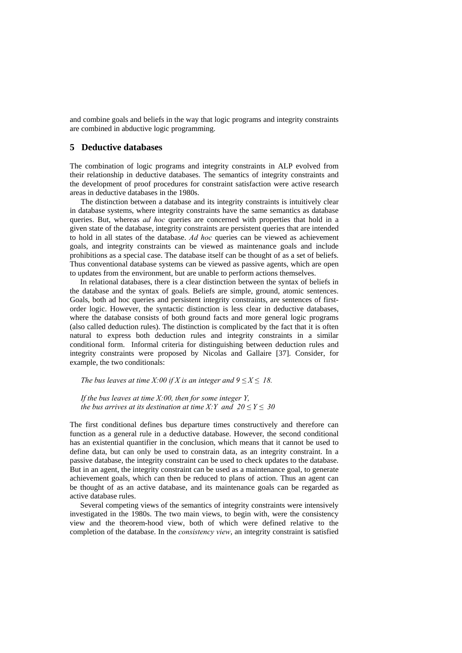and combine goals and beliefs in the way that logic programs and integrity constraints are combined in abductive logic programming.

## **5 Deductive databases**

The combination of logic programs and integrity constraints in ALP evolved from their relationship in deductive databases. The semantics of integrity constraints and the development of proof procedures for constraint satisfaction were active research areas in deductive databases in the 1980s.

 The distinction between a database and its integrity constraints is intuitively clear in database systems, where integrity constraints have the same semantics as database queries. But, whereas *ad hoc* queries are concerned with properties that hold in a given state of the database, integrity constraints are persistent queries that are intended to hold in all states of the database. *Ad hoc* queries can be viewed as achievement goals, and integrity constraints can be viewed as maintenance goals and include prohibitions as a special case. The database itself can be thought of as a set of beliefs. Thus conventional database systems can be viewed as passive agents, which are open to updates from the environment, but are unable to perform actions themselves.

In relational databases, there is a clear distinction between the syntax of beliefs in the database and the syntax of goals. Beliefs are simple, ground, atomic sentences. Goals, both ad hoc queries and persistent integrity constraints, are sentences of firstorder logic. However, the syntactic distinction is less clear in deductive databases, where the database consists of both ground facts and more general logic programs (also called deduction rules). The distinction is complicated by the fact that it is often natural to express both deduction rules and integrity constraints in a similar conditional form. Informal criteria for distinguishing between deduction rules and integrity constraints were proposed by Nicolas and Gallaire [37]. Consider, for example, the two conditionals:

*The bus leaves at time X:00 if X is an integer and*  $9 \le X \le 18$ *.* 

 *If the bus leaves at time X:00, then for some integer Y, the bus arrives at its destination at time X:Y and*  $20 \le Y \le 30$ 

The first conditional defines bus departure times constructively and therefore can function as a general rule in a deductive database. However, the second conditional has an existential quantifier in the conclusion, which means that it cannot be used to define data, but can only be used to constrain data, as an integrity constraint. In a passive database, the integrity constraint can be used to check updates to the database. But in an agent, the integrity constraint can be used as a maintenance goal, to generate achievement goals, which can then be reduced to plans of action. Thus an agent can be thought of as an active database, and its maintenance goals can be regarded as active database rules.

Several competing views of the semantics of integrity constraints were intensively investigated in the 1980s. The two main views, to begin with, were the consistency view and the theorem-hood view, both of which were defined relative to the completion of the database. In the *consistency view*, an integrity constraint is satisfied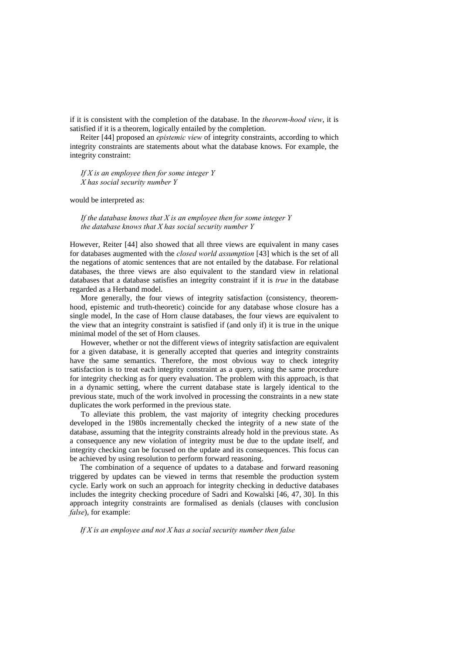if it is consistent with the completion of the database. In the *theorem-hood view*, it is satisfied if it is a theorem, logically entailed by the completion.

Reiter [44] proposed an *epistemic view* of integrity constraints, according to which integrity constraints are statements about what the database knows. For example, the integrity constraint:

*If X is an employee then for some integer Y X has social security number Y* 

would be interpreted as:

*If the database knows that X is an employee then for some integer Y the database knows that X has social security number Y* 

However, Reiter [44] also showed that all three views are equivalent in many cases for databases augmented with the *closed world assumption* [43] which is the set of all the negations of atomic sentences that are not entailed by the database. For relational databases, the three views are also equivalent to the standard view in relational databases that a database satisfies an integrity constraint if it is *true* in the database regarded as a Herband model.

More generally, the four views of integrity satisfaction (consistency, theoremhood, epistemic and truth-theoretic) coincide for any database whose closure has a single model, In the case of Horn clause databases, the four views are equivalent to the view that an integrity constraint is satisfied if (and only if) it is true in the unique minimal model of the set of Horn clauses.

However, whether or not the different views of integrity satisfaction are equivalent for a given database, it is generally accepted that queries and integrity constraints have the same semantics. Therefore, the most obvious way to check integrity satisfaction is to treat each integrity constraint as a query, using the same procedure for integrity checking as for query evaluation. The problem with this approach, is that in a dynamic setting, where the current database state is largely identical to the previous state, much of the work involved in processing the constraints in a new state duplicates the work performed in the previous state.

 To alleviate this problem, the vast majority of integrity checking procedures developed in the 1980s incrementally checked the integrity of a new state of the database, assuming that the integrity constraints already hold in the previous state. As a consequence any new violation of integrity must be due to the update itself, and integrity checking can be focused on the update and its consequences. This focus can be achieved by using resolution to perform forward reasoning.

The combination of a sequence of updates to a database and forward reasoning triggered by updates can be viewed in terms that resemble the production system cycle. Early work on such an approach for integrity checking in deductive databases includes the integrity checking procedure of Sadri and Kowalski [46, 47, 30]. In this approach integrity constraints are formalised as denials (clauses with conclusion *false*), for example:

*If X is an employee and not X has a social security number then false*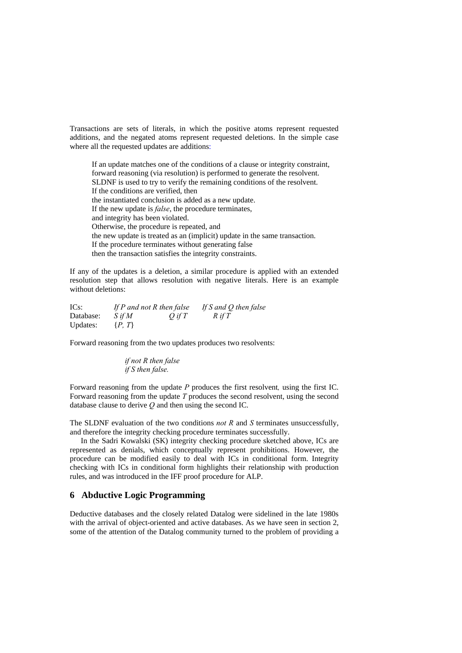Transactions are sets of literals, in which the positive atoms represent requested additions, and the negated atoms represent requested deletions. In the simple case where all the requested updates are additions:

 If an update matches one of the conditions of a clause or integrity constraint, forward reasoning (via resolution) is performed to generate the resolvent. SLDNF is used to try to verify the remaining conditions of the resolvent. If the conditions are verified, then the instantiated conclusion is added as a new update. If the new update is *false*, the procedure terminates, and integrity has been violated. Otherwise, the procedure is repeated, and the new update is treated as an (implicit) update in the same transaction. If the procedure terminates without generating false then the transaction satisfies the integrity constraints.

If any of the updates is a deletion, a similar procedure is applied with an extended resolution step that allows resolution with negative literals. Here is an example without deletions:

| ICs:      |            | If $P$ and not $R$ then false | If S and $Q$ then false |  |
|-----------|------------|-------------------------------|-------------------------|--|
| Database: | $S$ if $M$ | $Q$ if $T$                    | $R$ if $T$              |  |
| Updates:  | $\{P, T\}$ |                               |                         |  |

Forward reasoning from the two updates produces two resolvents:

 *if not R then false if S then false.* 

Forward reasoning from the update *P* produces the first resolvent*,* using the first IC. Forward reasoning from the update *T* produces the second resolvent, using the second database clause to derive *Q* and then using the second IC.

The SLDNF evaluation of the two conditions *not R* and *S* terminates unsuccessfully, and therefore the integrity checking procedure terminates successfully.

In the Sadri Kowalski (SK) integrity checking procedure sketched above, ICs are represented as denials, which conceptually represent prohibitions. However, the procedure can be modified easily to deal with ICs in conditional form. Integrity checking with ICs in conditional form highlights their relationship with production rules, and was introduced in the IFF proof procedure for ALP.

## **6 Abductive Logic Programming**

Deductive databases and the closely related Datalog were sidelined in the late 1980s with the arrival of object-oriented and active databases. As we have seen in section 2, some of the attention of the Datalog community turned to the problem of providing a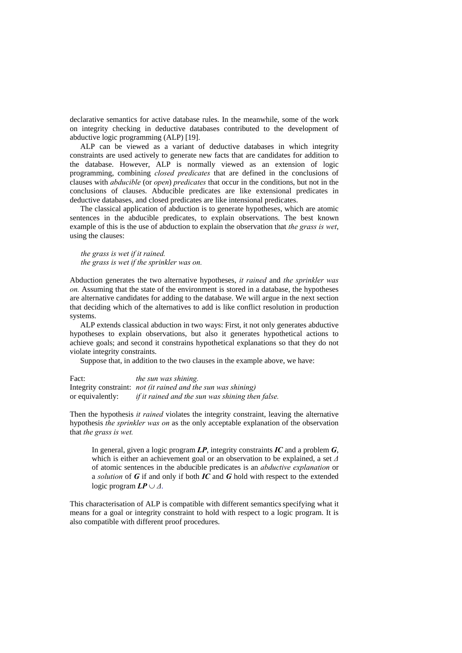declarative semantics for active database rules. In the meanwhile, some of the work on integrity checking in deductive databases contributed to the development of abductive logic programming (ALP) [19].

ALP can be viewed as a variant of deductive databases in which integrity constraints are used actively to generate new facts that are candidates for addition to the database. However, ALP is normally viewed as an extension of logic programming, combining *closed predicates* that are defined in the conclusions of clauses with *abducible* (or *open*) *predicates* that occur in the conditions, but not in the conclusions of clauses. Abducible predicates are like extensional predicates in deductive databases, and closed predicates are like intensional predicates.

The classical application of abduction is to generate hypotheses, which are atomic sentences in the abducible predicates, to explain observations. The best known example of this is the use of abduction to explain the observation that *the grass is wet*, using the clauses:

*the grass is wet if it rained. the grass is wet if the sprinkler was on.* 

Abduction generates the two alternative hypotheses, *it rained* and *the sprinkler was on.* Assuming that the state of the environment is stored in a database, the hypotheses are alternative candidates for adding to the database. We will argue in the next section that deciding which of the alternatives to add is like conflict resolution in production systems.

ALP extends classical abduction in two ways: First, it not only generates abductive hypotheses to explain observations, but also it generates hypothetical actions to achieve goals; and second it constrains hypothetical explanations so that they do not violate integrity constraints.

Suppose that, in addition to the two clauses in the example above, we have:

Fact: *the sun was shining.* Integrity constraint: *not (it rained and the sun was shining)* or equivalently: *if it rained and the sun was shining then false.*

Then the hypothesis *it rained* violates the integrity constraint, leaving the alternative hypothesis *the sprinkler was on* as the only acceptable explanation of the observation that *the grass is wet.* 

In general, given a logic program *LP*, integrity constraints *IC* and a problem *G*, which is either an achievement goal or an observation to be explained, a set *Δ* of atomic sentences in the abducible predicates is an *abductive explanation* or a *solution* of *G* if and only if both *IC* and *G* hold with respect to the extended logic program  $LP \cup \Delta$ .

This characterisation of ALP is compatible with different semantics specifying what it means for a goal or integrity constraint to hold with respect to a logic program. It is also compatible with different proof procedures.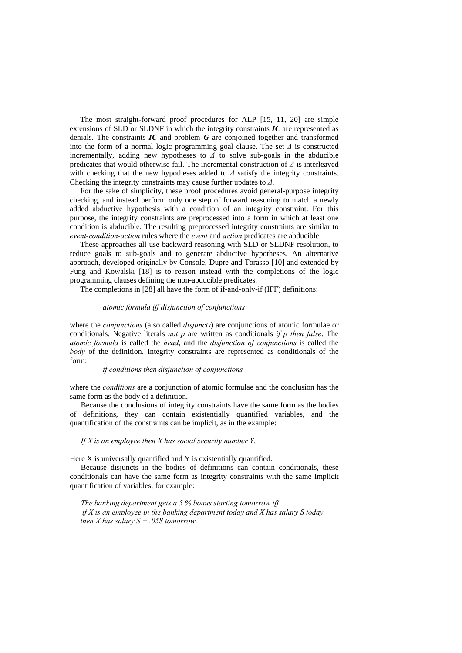The most straight-forward proof procedures for ALP [15, 11, 20] are simple extensions of SLD or SLDNF in which the integrity constraints *IC* are represented as denials. The constraints *IC* and problem *G* are conjoined together and transformed into the form of a normal logic programming goal clause. The set *Δ* is constructed incrementally, adding new hypotheses to *Δ* to solve sub-goals in the abducible predicates that would otherwise fail. The incremental construction of *Δ* is interleaved with checking that the new hypotheses added to *Δ* satisfy the integrity constraints. Checking the integrity constraints may cause further updates to *Δ*.

For the sake of simplicity, these proof procedures avoid general-purpose integrity checking, and instead perform only one step of forward reasoning to match a newly added abductive hypothesis with a condition of an integrity constraint. For this purpose, the integrity constraints are preprocessed into a form in which at least one condition is abducible. The resulting preprocessed integrity constraints are similar to *event-condition-action* rules where the *event* and *action* predicates are abducible.

These approaches all use backward reasoning with SLD or SLDNF resolution, to reduce goals to sub-goals and to generate abductive hypotheses. An alternative approach, developed originally by Console, Dupre and Torasso [10] and extended by Fung and Kowalski [18] is to reason instead with the completions of the logic programming clauses defining the non-abducible predicates.

The completions in [28] all have the form of if-and-only-if (IFF) definitions:

#### *atomic formula iff disjunction of conjunctions*

where the *conjunctions* (also called *disjuncts*) are conjunctions of atomic formulae or conditionals. Negative literals *not p* are written as conditionals *if p then false*. The *atomic formula* is called the *head*, and the *disjunction of conjunctions* is called the *body* of the definition. Integrity constraints are represented as conditionals of the form:

## *if conditions then disjunction of conjunctions*

where the *conditions* are a conjunction of atomic formulae and the conclusion has the same form as the body of a definition.

 Because the conclusions of integrity constraints have the same form as the bodies of definitions, they can contain existentially quantified variables, and the quantification of the constraints can be implicit, as in the example:

#### *If X is an employee then X has social security number Y.*

Here X is universally quantified and Y is existentially quantified.

 Because disjuncts in the bodies of definitions can contain conditionals, these conditionals can have the same form as integrity constraints with the same implicit quantification of variables, for example:

*The banking department gets a 5 % bonus starting tomorrow iff if X is an employee in the banking department today and X has salary S today then X has salary S + .05S tomorrow.*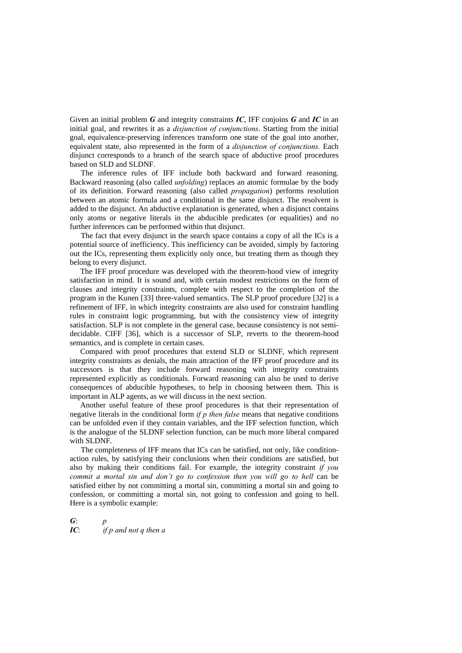Given an initial problem *G* and integrity constraints *IC*, IFF conjoins *G* and *IC* in an initial goal, and rewrites it as a *disjunction of conjunctions*. Starting from the initial goal, equivalence-preserving inferences transform one state of the goal into another, equivalent state, also represented in the form of a *disjunction of conjunctions.* Each disjunct corresponds to a branch of the search space of abductive proof procedures based on SLD and SLDNF.

 The inference rules of IFF include both backward and forward reasoning. Backward reasoning (also called *unfolding*) replaces an atomic formulae by the body of its definition. Forward reasoning (also called *propagation*) performs resolution between an atomic formula and a conditional in the same disjunct. The resolvent is added to the disjunct. An abductive explanation is generated, when a disjunct contains only atoms or negative literals in the abducible predicates (or equalities) and no further inferences can be performed within that disjunct.

 The fact that every disjunct in the search space contains a copy of all the ICs is a potential source of inefficiency. This inefficiency can be avoided, simply by factoring out the ICs, representing them explicitly only once, but treating them as though they belong to every disjunct.

The IFF proof procedure was developed with the theorem-hood view of integrity satisfaction in mind. It is sound and, with certain modest restrictions on the form of clauses and integrity constraints, complete with respect to the completion of the program in the Kunen [33] three-valued semantics. The SLP proof procedure [32] is a refinement of IFF, in which integrity constraints are also used for constraint handling rules in constraint logic programming, but with the consistency view of integrity satisfaction. SLP is not complete in the general case, because consistency is not semidecidable. CIFF [36], which is a successor of SLP, reverts to the theorem-hood semantics, and is complete in certain cases.

Compared with proof procedures that extend SLD or SLDNF, which represent integrity constraints as denials, the main attraction of the IFF proof procedure and its successors is that they include forward reasoning with integrity constraints represented explicitly as conditionals. Forward reasoning can also be used to derive consequences of abducible hypotheses, to help in choosing between them. This is important in ALP agents, as we will discuss in the next section.

Another useful feature of these proof procedures is that their representation of negative literals in the conditional form *if p then false* means that negative conditions can be unfolded even if they contain variables, and the IFF selection function, which is the analogue of the SLDNF selection function, can be much more liberal compared with SLDNF.

 The completeness of IFF means that ICs can be satisfied, not only, like conditionaction rules, by satisfying their conclusions when their conditions are satisfied, but also by making their conditions fail. For example, the integrity constraint *if you commit a mortal sin and don't go to confession then you will go to hell* can be satisfied either by not committing a mortal sin, committing a mortal sin and going to confession, or committing a mortal sin, not going to confession and going to hell. Here is a symbolic example:

*G*:<br>*IC*: *IC*: *if p and not q then a*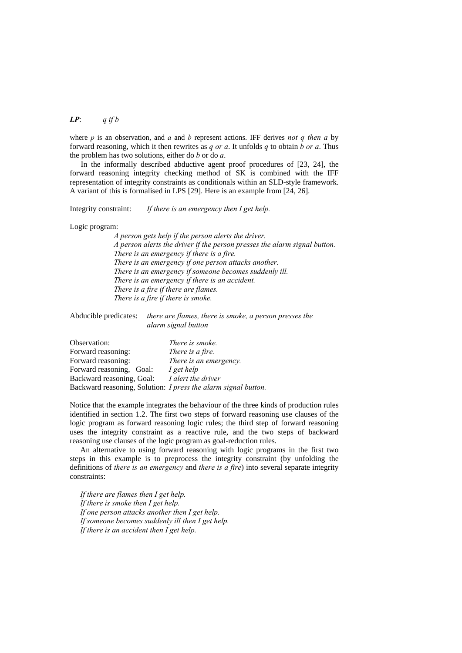## *LP*: *q if b*

where *p* is an observation, and *a* and *b* represent actions. IFF derives *not q then a* by forward reasoning, which it then rewrites as *q or a*. It unfolds *q* to obtain *b or a*. Thus the problem has two solutions, either do *b* or do *a*.

 In the informally described abductive agent proof procedures of [23, 24], the forward reasoning integrity checking method of SK is combined with the IFF representation of integrity constraints as conditionals within an SLD-style framework. A variant of this is formalised in LPS [29]. Here is an example from [24, 26].

Integrity constraint: *If there is an emergency then I get help.*

Logic program:

 *A person gets help if the person alerts the driver. A person alerts the driver if the person presses the alarm signal button. There is an emergency if there is a fire. There is an emergency if one person attacks another. There is an emergency if someone becomes suddenly ill. There is an emergency if there is an accident. There is a fire if there are flames. There is a fire if there is smoke.* 

Abducible predicates: *there are flames, there is smoke, a person presses the alarm signal button* 

| Observation:              | There is smoke.                                                |
|---------------------------|----------------------------------------------------------------|
| Forward reasoning:        | There is a fire.                                               |
| Forward reasoning:        | There is an emergency.                                         |
| Forward reasoning, Goal:  | I get help                                                     |
| Backward reasoning, Goal: | I alert the driver                                             |
|                           | Backward reasoning, Solution: I press the alarm signal button. |

Notice that the example integrates the behaviour of the three kinds of production rules identified in section 1.2. The first two steps of forward reasoning use clauses of the logic program as forward reasoning logic rules; the third step of forward reasoning uses the integrity constraint as a reactive rule, and the two steps of backward reasoning use clauses of the logic program as goal-reduction rules.

An alternative to using forward reasoning with logic programs in the first two steps in this example is to preprocess the integrity constraint (by unfolding the definitions of *there is an emergency* and *there is a fire*) into several separate integrity constraints:

*If there are flames then I get help. If there is smoke then I get help. If one person attacks another then I get help. If someone becomes suddenly ill then I get help. If there is an accident then I get help.*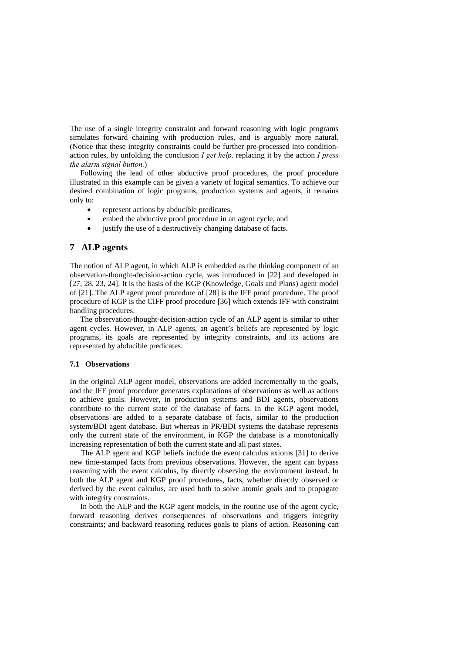The use of a single integrity constraint and forward reasoning with logic programs simulates forward chaining with production rules, and is arguably more natural. (Notice that these integrity constraints could be further pre-processed into conditionaction rules, by unfolding the conclusion *I get help,* replacing it by the action *I press the alarm signal button.*)

Following the lead of other abductive proof procedures, the proof procedure illustrated in this example can be given a variety of logical semantics. To achieve our desired combination of logic programs, production systems and agents, it remains only to:

- represent actions by abducible predicates,
- embed the abductive proof procedure in an agent cycle, and
- justify the use of a destructively changing database of facts.

## **7 ALP agents**

The notion of ALP agent, in which ALP is embedded as the thinking component of an observation-thought-decision-action cycle, was introduced in [22] and developed in [27, 28, 23, 24]. It is the basis of the KGP (Knowledge, Goals and Plans) agent model of [21]. The ALP agent proof procedure of [28] is the IFF proof procedure. The proof procedure of KGP is the CIFF proof procedure [36] which extends IFF with constraint handling procedures.

The observation-thought-decision-action cycle of an ALP agent is similar to other agent cycles. However, in ALP agents, an agent's beliefs are represented by logic programs, its goals are represented by integrity constraints, and its actions are represented by abducible predicates.

#### **7.1 Observations**

In the original ALP agent model, observations are added incrementally to the goals, and the IFF proof procedure generates explanations of observations as well as actions to achieve goals. However, in production systems and BDI agents, observations contribute to the current state of the database of facts. In the KGP agent model, observations are added to a separate database of facts, similar to the production system/BDI agent database. But whereas in PR/BDI systems the database represents only the current state of the environment, in KGP the database is a monotonically increasing representation of both the current state and all past states.

 The ALP agent and KGP beliefs include the event calculus axioms [31] to derive new time-stamped facts from previous observations. However, the agent can bypass reasoning with the event calculus, by directly observing the environment instead. In both the ALP agent and KGP proof procedures, facts, whether directly observed or derived by the event calculus, are used both to solve atomic goals and to propagate with integrity constraints.

In both the ALP and the KGP agent models, in the routine use of the agent cycle, forward reasoning derives consequences of observations and triggers integrity constraints; and backward reasoning reduces goals to plans of action. Reasoning can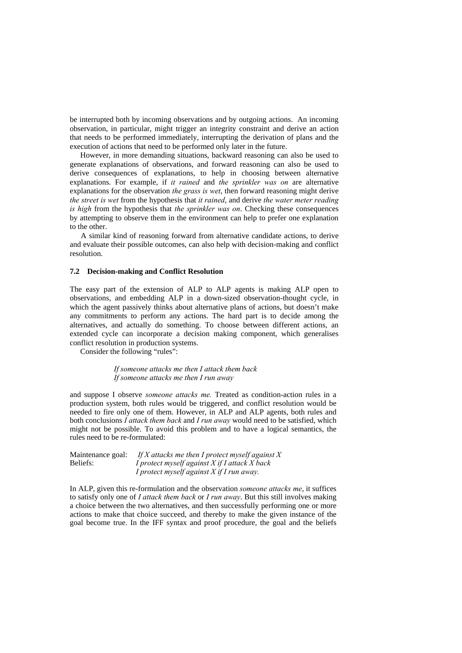be interrupted both by incoming observations and by outgoing actions. An incoming observation, in particular, might trigger an integrity constraint and derive an action that needs to be performed immediately, interrupting the derivation of plans and the execution of actions that need to be performed only later in the future.

However, in more demanding situations, backward reasoning can also be used to generate explanations of observations, and forward reasoning can also be used to derive consequences of explanations, to help in choosing between alternative explanations. For example, if *it rained* and *the sprinkler was on* are alternative explanations for the observation *the grass is wet*, then forward reasoning might derive *the street is wet* from the hypothesis that *it rained*, and derive *the water meter reading is high* from the hypothesis that *the sprinkler was on*. Checking these consequences by attempting to observe them in the environment can help to prefer one explanation to the other.

 A similar kind of reasoning forward from alternative candidate actions, to derive and evaluate their possible outcomes, can also help with decision-making and conflict resolution.

#### **7.2 Decision-making and Conflict Resolution**

The easy part of the extension of ALP to ALP agents is making ALP open to observations, and embedding ALP in a down-sized observation-thought cycle, in which the agent passively thinks about alternative plans of actions, but doesn't make any commitments to perform any actions. The hard part is to decide among the alternatives, and actually do something. To choose between different actions, an extended cycle can incorporate a decision making component, which generalises conflict resolution in production systems.

Consider the following "rules":

 *If someone attacks me then I attack them back If someone attacks me then I run away* 

and suppose I observe *someone attacks me.* Treated as condition-action rules in a production system, both rules would be triggered, and conflict resolution would be needed to fire only one of them. However, in ALP and ALP agents, both rules and both conclusions *I attack them back* and *I run away* would need to be satisfied, which might not be possible. To avoid this problem and to have a logical semantics, the rules need to be re-formulated:

| Maintenance goal: | If X attacks me then I protect myself against X   |
|-------------------|---------------------------------------------------|
| Beliefs:          | I protect myself against $X$ if I attack $X$ back |
|                   | I protect myself against X if I run away.         |

In ALP, given this re-formulation and the observation *someone attacks me*, it suffices to satisfy only one of *I attack them back* or *I run away*. But this still involves making a choice between the two alternatives, and then successfully performing one or more actions to make that choice succeed, and thereby to make the given instance of the goal become true. In the IFF syntax and proof procedure, the goal and the beliefs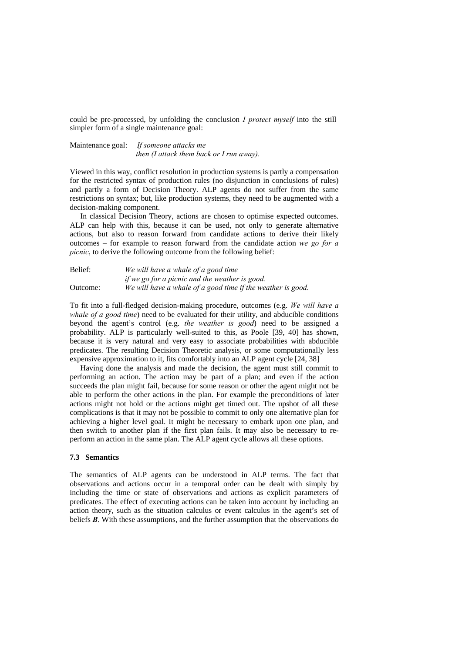could be pre-processed, by unfolding the conclusion *I protect myself* into the still simpler form of a single maintenance goal:

Maintenance goal: *If someone attacks me then (I attack them back or I run away).* 

Viewed in this way, conflict resolution in production systems is partly a compensation for the restricted syntax of production rules (no disjunction in conclusions of rules) and partly a form of Decision Theory. ALP agents do not suffer from the same restrictions on syntax; but, like production systems, they need to be augmented with a decision-making component.

In classical Decision Theory, actions are chosen to optimise expected outcomes. ALP can help with this, because it can be used, not only to generate alternative actions, but also to reason forward from candidate actions to derive their likely outcomes – for example to reason forward from the candidate action *we go for a picnic*, to derive the following outcome from the following belief:

| Belief:  | We will have a whale of a good time                         |
|----------|-------------------------------------------------------------|
|          | if we go for a picnic and the weather is good.              |
| Outcome: | We will have a whale of a good time if the weather is good. |

To fit into a full-fledged decision-making procedure, outcomes (e.g. *We will have a whale of a good time*) need to be evaluated for their utility, and abducible conditions beyond the agent's control (e.g. *the weather is good*) need to be assigned a probability. ALP is particularly well-suited to this, as Poole [39, 40] has shown, because it is very natural and very easy to associate probabilities with abducible predicates. The resulting Decision Theoretic analysis, or some computationally less expensive approximation to it, fits comfortably into an ALP agent cycle [24, 38]

Having done the analysis and made the decision, the agent must still commit to performing an action. The action may be part of a plan; and even if the action succeeds the plan might fail, because for some reason or other the agent might not be able to perform the other actions in the plan. For example the preconditions of later actions might not hold or the actions might get timed out. The upshot of all these complications is that it may not be possible to commit to only one alternative plan for achieving a higher level goal. It might be necessary to embark upon one plan, and then switch to another plan if the first plan fails. It may also be necessary to reperform an action in the same plan. The ALP agent cycle allows all these options.

#### **7.3 Semantics**

The semantics of ALP agents can be understood in ALP terms. The fact that observations and actions occur in a temporal order can be dealt with simply by including the time or state of observations and actions as explicit parameters of predicates. The effect of executing actions can be taken into account by including an action theory, such as the situation calculus or event calculus in the agent's set of beliefs *B*. With these assumptions, and the further assumption that the observations do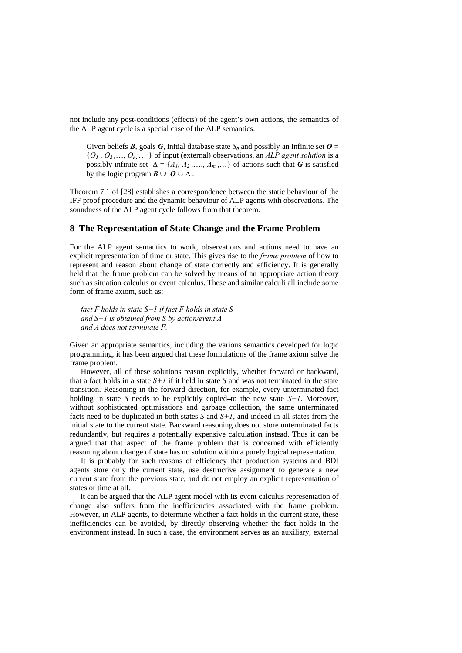not include any post-conditions (effects) of the agent's own actions, the semantics of the ALP agent cycle is a special case of the ALP semantics.

Given beliefs *B*, goals *G*, initial database state  $S_\theta$  and possibly an infinite set  $\boldsymbol{O} =$  $\{O_1, O_2, \ldots, O_n, \ldots\}$  of input (external) observations, an *ALP agent solution* is a possibly infinite set  $\Delta = \{A_1, A_2, \ldots, A_m, \ldots\}$  of actions such that *G* is satisfied by the logic program  $\mathbf{B} \cup \mathbf{O} \cup \Delta$ .

Theorem 7.1 of [28] establishes a correspondence between the static behaviour of the IFF proof procedure and the dynamic behaviour of ALP agents with observations. The soundness of the ALP agent cycle follows from that theorem.

### **8 The Representation of State Change and the Frame Problem**

For the ALP agent semantics to work, observations and actions need to have an explicit representation of time or state. This gives rise to the *frame problem* of how to represent and reason about change of state correctly and efficiency. It is generally held that the frame problem can be solved by means of an appropriate action theory such as situation calculus or event calculus. These and similar calculi all include some form of frame axiom, such as:

*fact F holds in state S+1 if fact F holds in state S and S+1 is obtained from S by action/event A and A does not terminate F.* 

Given an appropriate semantics, including the various semantics developed for logic programming, it has been argued that these formulations of the frame axiom solve the frame problem.

 However, all of these solutions reason explicitly, whether forward or backward, that a fact holds in a state  $S+1$  if it held in state S and was not terminated in the state transition. Reasoning in the forward direction, for example, every unterminated fact holding in state *S* needs to be explicitly copied-to the new state  $S+1$ . Moreover, without sophisticated optimisations and garbage collection, the same unterminated facts need to be duplicated in both states  $\overline{S}$  and  $\overline{S}+I$ , and indeed in all states from the initial state to the current state. Backward reasoning does not store unterminated facts redundantly, but requires a potentially expensive calculation instead. Thus it can be argued that that aspect of the frame problem that is concerned with efficiently reasoning about change of state has no solution within a purely logical representation.

 It is probably for such reasons of efficiency that production systems and BDI agents store only the current state, use destructive assignment to generate a new current state from the previous state, and do not employ an explicit representation of states or time at all.

It can be argued that the ALP agent model with its event calculus representation of change also suffers from the inefficiencies associated with the frame problem. However, in ALP agents, to determine whether a fact holds in the current state, these inefficiencies can be avoided, by directly observing whether the fact holds in the environment instead. In such a case, the environment serves as an auxiliary, external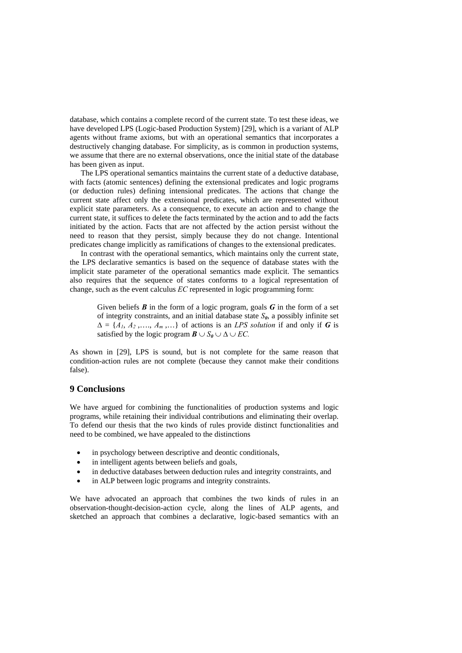database, which contains a complete record of the current state. To test these ideas, we have developed LPS (Logic-based Production System) [29], which is a variant of ALP agents without frame axioms, but with an operational semantics that incorporates a destructively changing database. For simplicity, as is common in production systems, we assume that there are no external observations, once the initial state of the database has been given as input.

 The LPS operational semantics maintains the current state of a deductive database, with facts (atomic sentences) defining the extensional predicates and logic programs (or deduction rules) defining intensional predicates. The actions that change the current state affect only the extensional predicates, which are represented without explicit state parameters. As a consequence, to execute an action and to change the current state, it suffices to delete the facts terminated by the action and to add the facts initiated by the action. Facts that are not affected by the action persist without the need to reason that they persist, simply because they do not change. Intentional predicates change implicitly as ramifications of changes to the extensional predicates.

 In contrast with the operational semantics, which maintains only the current state, the LPS declarative semantics is based on the sequence of database states with the implicit state parameter of the operational semantics made explicit. The semantics also requires that the sequence of states conforms to a logical representation of change, such as the event calculus *EC* represented in logic programming form:

> Given beliefs *B* in the form of a logic program, goals *G* in the form of a set of integrity constraints, and an initial database state *S0*, a possibly infinite set  $\Delta = \{A_1, A_2, \ldots, A_m, \ldots\}$  of actions is an *LPS solution* if and only if *G* is satisfied by the logic program  $\mathbf{B} \cup S_0 \cup \Delta \cup EC$ .

As shown in [29], LPS is sound, but is not complete for the same reason that condition-action rules are not complete (because they cannot make their conditions false).

## **9 Conclusions**

We have argued for combining the functionalities of production systems and logic programs, while retaining their individual contributions and eliminating their overlap. To defend our thesis that the two kinds of rules provide distinct functionalities and need to be combined, we have appealed to the distinctions

- in psychology between descriptive and deontic conditionals,
- in intelligent agents between beliefs and goals,
- in deductive databases between deduction rules and integrity constraints, and
- in ALP between logic programs and integrity constraints.

We have advocated an approach that combines the two kinds of rules in an observation-thought-decision-action cycle, along the lines of ALP agents, and sketched an approach that combines a declarative, logic-based semantics with an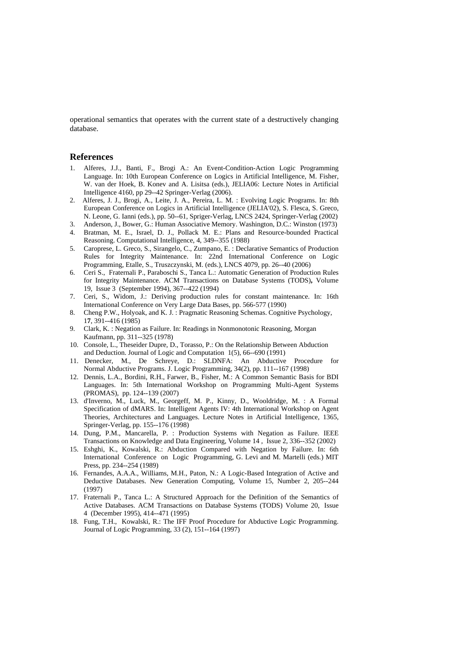operational semantics that operates with the current state of a destructively changing database.

## **References**

- 1. Alferes, J.J., Banti, F., Brogi A.: [An Event-Condition-Action Logic Programming](http://www.di.unipi.it/%7Ebrogi/papers/JELIA06.pdf)  [Language.](http://www.di.unipi.it/%7Ebrogi/papers/JELIA06.pdf) In: 10th European Conference on Logics in Artificial Intelligence, M. Fisher, W. van der Hoek, B. Konev and A. Lisitsa (eds.), JELIA06: Lecture Notes in Artificial Intelligence 4160, pp 29--42 Springer-Verlag (2006).
- 2. Alferes, J. J., Brogi, A., Leite, J. A., Pereira, L. M. : [Evolving Logic Programs.](http://centria.fct.unl.pt/%7Ejja/page3/assets/jelia02.pdf) In: 8th European Conference on Logics in Artificial Intelligence (JELIA'02), S. Flesca, S. Greco, N. Leone, G. Ianni (eds.), pp. 50--61, Spriger-Verlag, LNCS 2424, Springer-Verlag (2002)
- 3. Anderson, J., Bower, G.: Human Associative Memory. Washington, D.C.: Winston (1973) 4. Bratman, M. E., Israel, D. J., Pollack M. E.: Plans and Resource-bounded Practical
- Reasoning. Computational Intelligence, 4, 349--355 (1988)
- 5. Caroprese, L. Greco, S., Sirangelo, C., Zumpano, E. : Declarative Semantics of Production Rules for Integrity Maintenance. In: 22nd International Conference on Logic Programming, Etalle, S., Truszczynski, M. (eds.), LNCS 4079, pp. 26--40 (2006)
- 6. Ceri S., Fraternali P., Paraboschi S., Tanca L.: Automatic Generation of Production Rules for Integrity Maintenance. ACM Transactions on Database Systems (TODS)**,** Volume 19, Issue 3 (September 1994), 367--422 (1994)
- 7. Ceri, S., Widom, J.: Deriving production rules for constant maintenance. In: 16th International Conference on Very Large Data Bases, pp. 566-577 (1990)
- 8. Cheng P.W., Holyoak, and K. J. : Pragmatic Reasoning Schemas. Cognitive Psychology, 1**7**, 391--416 (1985)
- 9. Clark, K. : Negation as Failure. In: Readings in Nonmonotonic Reasoning, Morgan Kaufmann, pp. 311--325 (1978)
- 10. Console, L., Theseider Dupre, D., Torasso, P.: On the Relationship Between Abduction and Deduction. Journal of Logic and Computation 1(5), 66--690 (1991)
- 11. Denecker, M., De Schreye, D.: SLDNFA: An Abductive Procedure for Normal Abductive Programs. J. Logic Programming, 34(2), pp. 111--167 (1998)
- 12. Dennis, L.A., Bordini, R.H., Farwer, B., Fisher, M.: A Common Semantic Basis for BDI Languages. In: 5th International Workshop on Programming Multi-Agent Systems ([PROMAS\),](http://www.informatik.uni-trier.de/~ley/db/conf/promas/promas2007.html#DennisFBFW07) pp. 124--139 (2007)
- 13. d'Inverno, M., Luck, M., Georgeff, M. P., Kinny, D., Wooldridge, M. : A Formal Specification of dMARS. In: Intelligent Agents IV: 4th International Workshop on Agent Theories, Architectures and Languages. Lecture Notes in Artificial Intelligence, 1365, Springer-Verlag, pp. 155--176 (1998)
- 14. Dung, P.M., Mancarella, P. : Production Systems with Negation as Failure. IEEE Transactions on Knowledge and Data Engineering, Volume 14 , Issue 2, 336--352 (2002)
- 15. Eshghi, K., Kowalski, R.: Abduction Compared with Negation by Failure. In: 6th International Conference on Logic Programming, G. Levi and M. Martelli (eds.) MIT Press, pp. 234--254 (1989)
- 16. Fernandes, A.A.A., Williams, M.H., Paton, N.: A Logic-Based Integration of Active and Deductive Databases. New Generation Computing, Volume 15, Number 2, 205--244 (1997)
- 17. Fraternali P., Tanca L.: A Structured Approach for the Definition of the Semantics of Active Databases. ACM Transactions on Database Systems (TODS) Volume 20, Issue 4 (December 1995), 414--471 (1995)
- 18. Fung, T.H., Kowalski, R.: The IFF Proof Procedure for Abductive Logic Programming. Journal of Logic Programming, 33 (2), 151--164 (1997)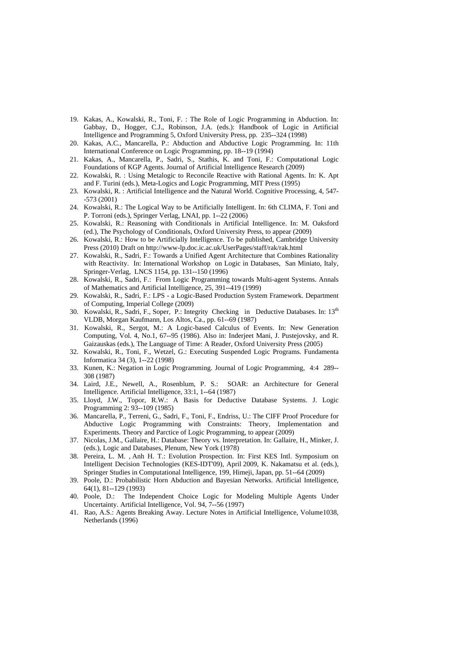- 19. Kakas, A., Kowalski, R., Toni, F. : The Role of Logic Programming in Abduction. In: Gabbay, D., Hogger, C.J., Robinson, J.A. (eds.): Handbook of Logic in Artificial Intelligence and Programming 5, Oxford University Press, pp. 235--324 (1998)
- 20. [Kakas,](http://www.informatik.uni-trier.de/%7Eley/db/indices/a-tree/k/Kakas:Antonis_C=.html) A.C., Mancarella, P.: Abduction and Abductive Logic Programming. In: 11th [International Conference on Logic Programming, p](http://www.informatik.uni-trier.de/~ley/db/conf/iclp/iclp94.html#KakasM94)p. 18--19 (1994)
- 21. Kakas, A., Mancarella, P., Sadri, S., Stathis, K. and Toni, F.: Computational Logic Foundations of KGP Agents. Journal of Artificial Intelligence Research (2009)
- 22. Kowalski, R. : Using Metalogic to Reconcile Reactive with Rational Agents. In: K. Apt and F. Turini (eds.), Meta-Logics and Logic Programming, MIT Press (1995)
- 23. Kowalski, R. : Artificial Intelligence and the Natural World. Cognitive Processing, 4, 547- -573 (2001)
- 24. Kowalski, R.: The Logical Way to be Artificially Intelligent. In: 6th CLIMA, F. Toni and P. Torroni (eds.), Springer Verlag, LNAI, pp. 1--22 (2006)
- 25. Kowalski, R.: Reasoning with Conditionals in Artificial Intelligence. In: M. Oaksford (ed.), The Psychology of Conditionals, Oxford University Press, to appear (2009)
- 26. Kowalski, R.: How to be Artificially Intelligence. To be published, Cambridge University Press (2010) Draft on http://www-lp.doc.ic.ac.uk/UserPages/staff/rak/rak.html
- 27. Kowalski, R., Sadri, F.: Towards a Unified Agent Architecture that Combines Rationality with Reactivity. In: International Workshop on Logic in Databases, San Miniato, Italy, Springer-Verlag, LNCS 1154, pp. 131--150 (1996)
- 28. Kowalski, R., Sadri, F.: From Logic Programming towards Multi-agent Systems. Annals of Mathematics and Artificial Intelligence, 25, 391--419 (1999)
- 29. Kowalski, R., Sadri, F.: LPS a Logic-Based Production System Framework. Department of Computing, Imperial College (2009)
- 30. Kowalski, R., Sadri, F., Soper, P.: Integrity Checking in Deductive Databases. In: 13<sup>th</sup> VLDB, Morgan Kaufmann, Los Altos, Ca., pp. 61--69 (1987)
- 31. Kowalski, R., Sergot, M.: A Logic-based Calculus of Events. In: New Generation Computing, Vol. 4, No.1, 67--95 (1986). Also in: Inderjeet Mani, J. Pustejovsky, and R. Gaizauskas (eds.), The Language of Time: A Reader, Oxford University Press (2005)
- 32. Kowalski, R., Toni, F., Wetzel, G.: Executing Suspended Logic Programs. Fundamenta Informatica 34 (3), 1--22 (1998)
- 33. Kunen, K.: Negation in Logic Programming. Journal of Logic Programming, 4:4 289-- 308 (1987)
- 34. Laird, J.E., Newell, A., Rosenblum, P. S.: SOAR: an Architecture for General Intelligence. Artificial Intelligence, 33:1, 1--64 (1987)
- 35. Lloyd, J.W., Topor, R.W.: A Basis for Deductive Database Systems. J. Logic Programming 2: 93--109 (1985)
- 36. Mancarella, P., [Terreni,](http://www.informatik.uni-trier.de/%7Eley/db/indices/a-tree/t/Terreni:Giacomo.html) G., [Sadri](http://www.informatik.uni-trier.de/%7Eley/db/indices/a-tree/s/Sadri:Fariba.html), F., [Toni](http://www.informatik.uni-trier.de/%7Eley/db/indices/a-tree/t/Toni:Francesca.html), F., [Endriss](http://www.informatik.uni-trier.de/%7Eley/db/indices/a-tree/e/Endriss:Ulrich.html), U.: The CIFF Proof Procedure for Abductive Logic Programming with Constraints: Theory, Implementation and Experiments. [Theory and Parctice of Logic Programming, to](http://www.informatik.uni-trier.de/~ley/db/journals/corr/corr0906.html#abs-0906-1182) appear (2009)
- 37. Nicolas, J.M., Gallaire, H.: Database: Theory vs. Interpretation. In: Gallaire, H., Minker, J. (eds.), Logic and Databases, Plenum, New York (1978)
- 38. Pereira, [L. M.](http://centria.di.fct.unl.pt/%7Elmp) , Anh H. T.: [Evolution Prospection](http://centria.fct.unl.pt/%7Elmp/publications/online-papers/KES-IDT09-evolution.pdf). In: [First KES Intl. Symposium on](http://idt-09.kesinternational.org/)  [Intelligent Decision Technologies](http://idt-09.kesinternational.org/) (KES-IDT'09), April 2009, K. Nakamatsu et al. (eds.), Springer Studies in Computational Intelligence, 199, Himeji, Japan, pp. 51--64 (2009)
- 39. Poole, D.: Probabilistic Horn Abduction and Bayesian Networks. Artificial Intelligence, 64(1), 81--129 (1993)
- 40. Poole, D.: The Independent Choice Logic for Modeling Multiple Agents Under Uncertainty. Artificial Intelligence, Vol. 94, 7--56 (1997)
- 41. Rao, A.S.: Agents Breaking Away. Lecture Notes in Artificial Intelligence, Volume1038, Netherlands (1996)